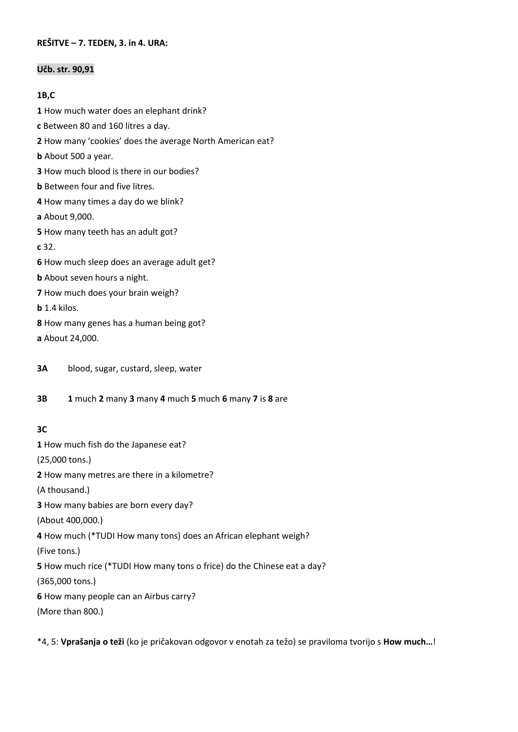#### **REŠITVE – 7. TEDEN, 3. in 4. URA:**

#### **Učb. str. 90,91**

#### **1B,C**

**1** How much water does an elephant drink?

- **c** Between 80 and 160 litres a day.
- **2** How many 'cookies' does the average North American eat?
- **b** About 500 a year.
- **3** How much blood is there in our bodies?
- **b** Between four and five litres.
- **4** How many times a day do we blink?
- **a** About 9,000.
- **5** How many teeth has an adult got?
- **c** 32.
- **6** How much sleep does an average adult get?
- **b** About seven hours a night.
- **7** How much does your brain weigh?
- **b** 1.4 kilos.
- **8** How many genes has a human being got?
- **a** About 24,000.
- **3A** blood, sugar, custard, sleep, water
- **3B 1** much **2** many **3** many **4** much **5** much **6** many **7** is **8** are

### **3C**

**1** How much fish do the Japanese eat? (25,000 tons.) **2** How many metres are there in a kilometre? (A thousand.) **3** How many babies are born every day? (About 400,000.) **4** How much (\*TUDI How many tons) does an African elephant weigh? (Five tons.) **5** How much rice (\*TUDI How many tons o frice) do the Chinese eat a day? (365,000 tons.)

- **6** How many people can an Airbus carry?
- (More than 800.)

\*4, 5: **Vprašanja o teži** (ko je pričakovan odgovor v enotah za težo) se praviloma tvorijo s **How much…**!